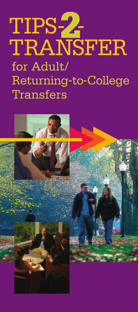# TIPS-**2**- TRANSFER for Adult/ Returning-to-College Transfers

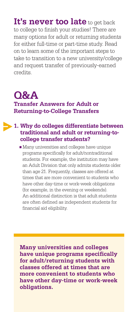**It's never too late** to get back to college to finish your studies! There are many options for adult or returning students for either full-time or part-time study. Read on to learn some of the important steps to take to transition to a new university/college and request transfer of previously-earned credits.

# **Q&A Transfer Answers for Adult or Returning-to-College Transfers**

## **1. Why do colleges differentiate between traditional and adult or returning-tocollege transfer students?**

 Many universities and colleges have unique programs specifically for adult/nontraditional students. For example, the institution may have an Adult Division that only admits students older than age 21. Frequently, classes are offered at times that are more convenient to students who have other day-time or work-week obligations (for example, in the evening or weekends). An additional distinction is that adult students are often defined as independent students for financial aid eligibility.

**Many universities and colleges have unique programs specifically for adult/returning students with classes offered at times that are more convenient to students who have other day-time or work-week obligations.**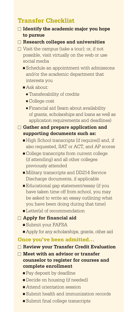# **Transfer Checklist**

#### **Identify the academic major you hope to pursue**

#### **Research colleges and universities**

- $\Box$  Visit the campus (take a tour); or, if not possible, visit virtually on the web or use social media
	- Schedule an appointment with admissions and/or the academic department that interests you

#### Ask about:

- **-** Transferability of credits
- **-** College cost
- **-** Financial aid (learn about availability of grants, scholarships and loans as well as application requirements and deadlines)

#### **Gather and prepare application and supporting documents such as:**

- High School transcripts (if required) and, if also requested, SAT or ACT, and AP scores
- $\blacksquare$  College transcripts from current college (if attending) and all other colleges previously attended
- Military transcripts and DD214 Service Discharge documents, if applicable
- Educational gap statement/essay (if you have taken time off from school, you may be asked to write an essay outlining what you have been doing during that time)
- **Letter(s)** of recommendation

#### **Apply for financial aid**

- Submit your FAFSA
- Apply for any scholarships, grants, other aid

#### **Once you've been admitted…**

- **Review your Transfer Credit Evaluation**
- **Meet with an advisor or transfer counselor to register for courses and complete enrollment**
	- Pay deposit by deadline
	- Decide on housing (if needed)
	- Attend orientation session
	- Submit health and immunization records
	- Submit final college transcripts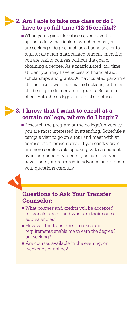## **2. Am I able to take one class or do I have to go full time (12-15 credits)?**

 When you register for classes, you have the option to fully matriculate, which means you are seeking a degree such as a bachelor's, or to register as a non-matriculated student, meaning you are taking courses without the goal of obtaining a degree. As a matriculated, full-time student you may have access to financial aid, scholarships and grants. A matriculated part-time student has fewer financial aid options, but may still be eligible for certain programs. Be sure to check with the college's financial aid office.

## **3. I know that I want to enroll at a certain college, where do I begin?**

Research the program at the college/university you are most interested in attending. Schedule a campus visit to go on a tour and meet with an admissions representative. If you can't visit, or are more comfortable speaking with a counselor over the phone or via email, be sure that you have done your research in advance and prepare your questions carefully.

### **Questions to Ask Your Transfer Counselor:**

- What courses and credits will be accepted for transfer credit and what are their course equivalencies?
- **How will the transferred courses and** requirements enable me to earn the degree I am seeking?
- Are courses available in the evening, on weekends or online?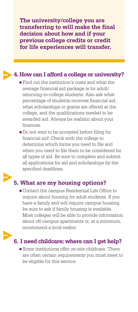**The university/college you are transferring to will make the final decision about how and if your previous college credits or credit for life experiences will transfer.**

# **4. How can I afford a college or university?**

**Find out the institution's costs and what the** average financial aid package is for adult/ returning-to-college students. Also ask what percentage of students receives financial aid, what scholarships or grants are offered at the college, and the qualifications needed to be awarded aid. Always be realistic about your finances.

Do not wait to be accepted before filing for financial aid! Check with the college to determine which forms you need to file and when you need to file them to be considered for all types of aid. Be sure to complete and submit all applications for aid and scholarships by the specified deadlines.

## **5. What are my housing options?**

 Contact the campus Residential Life Office to inquire about housing for adult students. If you have a family and will require campus housing, be sure to ask if family housing is available. Most colleges will be able to provide information about off-campus apartments or, at a minimum, recommend a local realtor.

# **6. I need childcare; where can I get help?**

Some institutions offer on-site childcare. There are often certain requirements you must meet to be eligible for this service.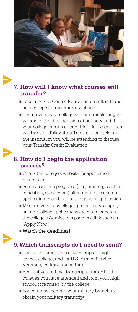

## **7. How will I know what courses will transfer?**

- Take a look at Course Equivalencies often found on a college or university's website.
- **The university or college you are transferring to** will make the final decision about how and if your college credits or credit for life experiences will transfer. Talk with a Transfer Counselor at the institution you will be attending to discuss your Transfer Credit Evaluation.

## **8. How do I begin the application process?**

- $\blacksquare$  Check the college's website for application procedures.
- Some academic programs (e.g., nursing, teacher education, social work) often require a separate application in addition to the general application.
- $\blacksquare$  Most universities/colleges prefer that you apply online. College applications are often found on the college's Admissions page in a link such as 'Apply Now.'
- Watch the deadlines!

## **9. Which transcripts do I need to send?**

- $\blacksquare$  There are three types of transcripts  $-$  high school, college, and for U.S. Armed Service Veterans, military transcripts.
- Request your official transcripts from ALL the colleges you have attended and from your high school, if required by the college.
- **For veterans, contact your military branch to** obtain your military transcript.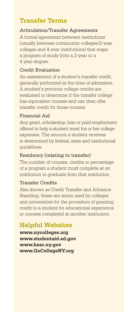# **Transfer Terms**

#### Articulation/Transfer Agreements

A formal agreement between institutions (usually between community colleges/2-year colleges and 4-year institutions) that maps a program of study from a 2-year to a 4 year-degree.

#### Credit Evaluation

An assessment of a student's transfer credit, generally performed at the time of admission. A student's previous college credits are evaluated to determine if the transfer college has equivalent courses and can then offer transfer credit for those courses.

#### Financial Aid

Any grant, scholarship, loan or paid employment offered to help a student meet his or her college expenses. The amount a student receives is determined by federal, state and institutional guidelines.

#### Residency (relating to transfer)

The number of courses, credits or percentage of a program a student must complete at an institution to graduate from that institution.

#### Transfer Credits

Also known as Credit Transfer and Advance Standing, these are terms used by colleges and universities for the procedure of granting credit to a student for educational experience or courses completed at another institution.

# **Helpful Websites**

**www.nycolleges.org www.studentaid.ed.gov www.hesc.ny.gov www.GoCollegeNY.org**